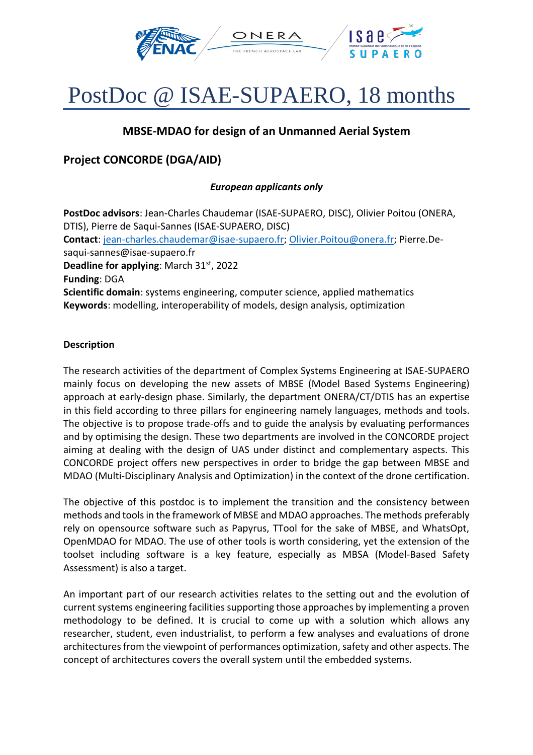

# PostDoc @ ISAE-SUPAERO, 18 months

## **MBSE-MDAO for design of an Unmanned Aerial System**

## **Project CONCORDE (DGA/AID)**

### *European applicants only*

**PostDoc advisors**: Jean-Charles Chaudemar (ISAE-SUPAERO, DISC), Olivier Poitou (ONERA, DTIS), Pierre de Saqui-Sannes (ISAE-SUPAERO, DISC) **Contact**: [jean-charles.chaudemar@isae-supaero.fr;](mailto:jean-charles.chaudemar@isae-supaero.fr) [Olivier.Poitou@onera.fr;](mailto:Olivier.Poitou@onera.fr) Pierre.Desaqui-sannes@isae-supaero.fr **Deadline for applying**: March 31<sup>st</sup>, 2022 **Funding**: DGA **Scientific domain**: systems engineering, computer science, applied mathematics **Keywords**: modelling, interoperability of models, design analysis, optimization

#### **Description**

The research activities of the department of Complex Systems Engineering at ISAE-SUPAERO mainly focus on developing the new assets of MBSE (Model Based Systems Engineering) approach at early-design phase. Similarly, the department ONERA/CT/DTIS has an expertise in this field according to three pillars for engineering namely languages, methods and tools. The objective is to propose trade-offs and to guide the analysis by evaluating performances and by optimising the design. These two departments are involved in the CONCORDE project aiming at dealing with the design of UAS under distinct and complementary aspects. This CONCORDE project offers new perspectives in order to bridge the gap between MBSE and MDAO (Multi-Disciplinary Analysis and Optimization) in the context of the drone certification.

The objective of this postdoc is to implement the transition and the consistency between methods and tools in the framework of MBSE and MDAO approaches. The methods preferably rely on opensource software such as Papyrus, TTool for the sake of MBSE, and WhatsOpt, OpenMDAO for MDAO. The use of other tools is worth considering, yet the extension of the toolset including software is a key feature, especially as MBSA (Model-Based Safety Assessment) is also a target.

An important part of our research activities relates to the setting out and the evolution of current systems engineering facilities supporting those approaches by implementing a proven methodology to be defined. It is crucial to come up with a solution which allows any researcher, student, even industrialist, to perform a few analyses and evaluations of drone architectures from the viewpoint of performances optimization, safety and other aspects. The concept of architectures covers the overall system until the embedded systems.